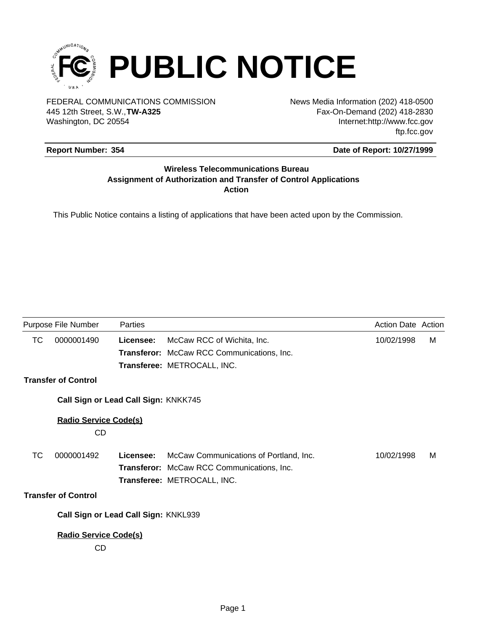

FEDERAL COMMUNICATIONS COMMISSION News Media Information (202) 418-0500 Washington, DC 20554 445 12th Street, S.W.,**TW-A325**

Fax-On-Demand (202) 418-2830 Internet:http://www.fcc.gov ftp.fcc.gov

## **Report Number: 354**

## **Date of Report: 10/27/1999**

### **Wireless Telecommunications Bureau Assignment of Authorization and Transfer of Control Applications Action**

This Public Notice contains a listing of applications that have been acted upon by the Commission.

|    | Purpose File Number                  | Parties   |                                                   | <b>Action Date Action</b> |   |
|----|--------------------------------------|-----------|---------------------------------------------------|---------------------------|---|
| ТC | 0000001490                           | Licensee: | McCaw RCC of Wichita, Inc.                        | 10/02/1998                | М |
|    |                                      |           | <b>Transferor:</b> McCaw RCC Communications, Inc. |                           |   |
|    |                                      |           | Transferee: METROCALL, INC.                       |                           |   |
|    | <b>Transfer of Control</b>           |           |                                                   |                           |   |
|    | Call Sign or Lead Call Sign: KNKK745 |           |                                                   |                           |   |
|    | <b>Radio Service Code(s)</b>         |           |                                                   |                           |   |
|    | CD                                   |           |                                                   |                           |   |
| ТC | 0000001492                           | Licensee: | McCaw Communications of Portland, Inc.            | 10/02/1998                | м |
|    |                                      |           | <b>Transferor:</b> McCaw RCC Communications, Inc. |                           |   |
|    |                                      |           | Transferee: METROCALL, INC.                       |                           |   |
|    | <b>Transfer of Control</b>           |           |                                                   |                           |   |
|    | Call Sign or Lead Call Sign: KNKL939 |           |                                                   |                           |   |
|    | <b>Radio Service Code(s)</b>         |           |                                                   |                           |   |
|    | CD                                   |           |                                                   |                           |   |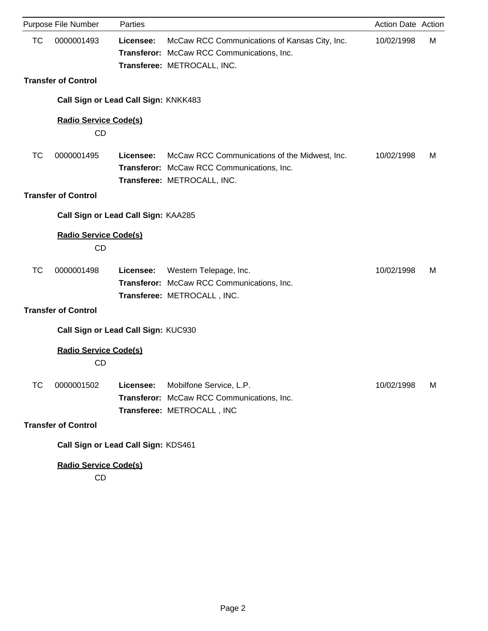|           | Purpose File Number                       | Parties                              |                                                                                                                            | Action Date Action |   |
|-----------|-------------------------------------------|--------------------------------------|----------------------------------------------------------------------------------------------------------------------------|--------------------|---|
| <b>TC</b> | 0000001493                                | Licensee:                            | McCaw RCC Communications of Kansas City, Inc.<br>Transferor: McCaw RCC Communications, Inc.<br>Transferee: METROCALL, INC. | 10/02/1998         | M |
|           | <b>Transfer of Control</b>                |                                      |                                                                                                                            |                    |   |
|           |                                           | Call Sign or Lead Call Sign: KNKK483 |                                                                                                                            |                    |   |
|           | <b>Radio Service Code(s)</b><br>CD        |                                      |                                                                                                                            |                    |   |
| <b>TC</b> | 0000001495                                | Licensee:                            | McCaw RCC Communications of the Midwest, Inc.<br>Transferor: McCaw RCC Communications, Inc.<br>Transferee: METROCALL, INC. | 10/02/1998         | M |
|           | <b>Transfer of Control</b>                |                                      |                                                                                                                            |                    |   |
|           |                                           | Call Sign or Lead Call Sign: KAA285  |                                                                                                                            |                    |   |
|           | <b>Radio Service Code(s)</b><br><b>CD</b> |                                      |                                                                                                                            |                    |   |
| <b>TC</b> | 0000001498                                | Licensee:                            | Western Telepage, Inc.<br>Transferor: McCaw RCC Communications, Inc.<br>Transferee: METROCALL, INC.                        | 10/02/1998         | M |
|           | <b>Transfer of Control</b>                |                                      |                                                                                                                            |                    |   |
|           |                                           | Call Sign or Lead Call Sign: KUC930  |                                                                                                                            |                    |   |
|           | <b>Radio Service Code(s)</b><br><b>CD</b> |                                      |                                                                                                                            |                    |   |
| <b>TC</b> | 0000001502                                | Licensee:                            | Mobilfone Service, L.P.<br>Transferor: McCaw RCC Communications, Inc.<br>Transferee: METROCALL, INC                        | 10/02/1998         | M |
|           | <b>Transfer of Control</b>                |                                      |                                                                                                                            |                    |   |
|           |                                           | Call Sign or Lead Call Sign: KDS461  |                                                                                                                            |                    |   |
|           | <b>Radio Service Code(s)</b>              |                                      |                                                                                                                            |                    |   |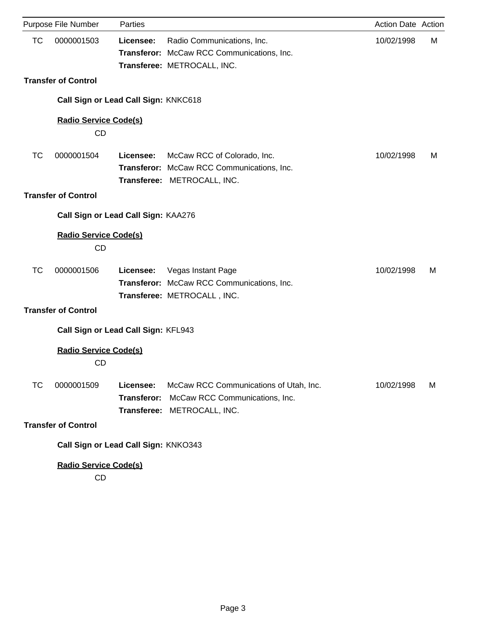|           | Purpose File Number                       | Parties                              |                                                                                                          | Action Date Action |   |
|-----------|-------------------------------------------|--------------------------------------|----------------------------------------------------------------------------------------------------------|--------------------|---|
| <b>TC</b> | 0000001503                                | Licensee:                            | Radio Communications, Inc.<br>Transferor: McCaw RCC Communications, Inc.<br>Transferee: METROCALL, INC.  | 10/02/1998         | M |
|           | <b>Transfer of Control</b>                |                                      |                                                                                                          |                    |   |
|           |                                           | Call Sign or Lead Call Sign: KNKC618 |                                                                                                          |                    |   |
|           | <b>Radio Service Code(s)</b><br>CD        |                                      |                                                                                                          |                    |   |
| <b>TC</b> | 0000001504                                | Licensee:                            | McCaw RCC of Colorado, Inc.<br>Transferor: McCaw RCC Communications, Inc.<br>Transferee: METROCALL, INC. | 10/02/1998         | M |
|           | <b>Transfer of Control</b>                |                                      |                                                                                                          |                    |   |
|           |                                           | Call Sign or Lead Call Sign: KAA276  |                                                                                                          |                    |   |
|           | <b>Radio Service Code(s)</b><br>CD        |                                      |                                                                                                          |                    |   |
| TC        | 0000001506                                | Licensee:                            | Vegas Instant Page<br>Transferor: McCaw RCC Communications, Inc.<br>Transferee: METROCALL, INC.          | 10/02/1998         | M |
|           | <b>Transfer of Control</b>                |                                      |                                                                                                          |                    |   |
|           |                                           | Call Sign or Lead Call Sign: KFL943  |                                                                                                          |                    |   |
|           | <b>Radio Service Code(s)</b><br><b>CD</b> |                                      |                                                                                                          |                    |   |
| TC        | 0000001509                                | Licensee:<br><b>Transferor:</b>      | McCaw RCC Communications of Utah, Inc.<br>McCaw RCC Communications, Inc.<br>Transferee: METROCALL, INC.  | 10/02/1998         | M |
|           | <b>Transfer of Control</b>                |                                      |                                                                                                          |                    |   |
|           |                                           | Call Sign or Lead Call Sign: KNKO343 |                                                                                                          |                    |   |
|           | <b>Radio Service Code(s)</b>              |                                      |                                                                                                          |                    |   |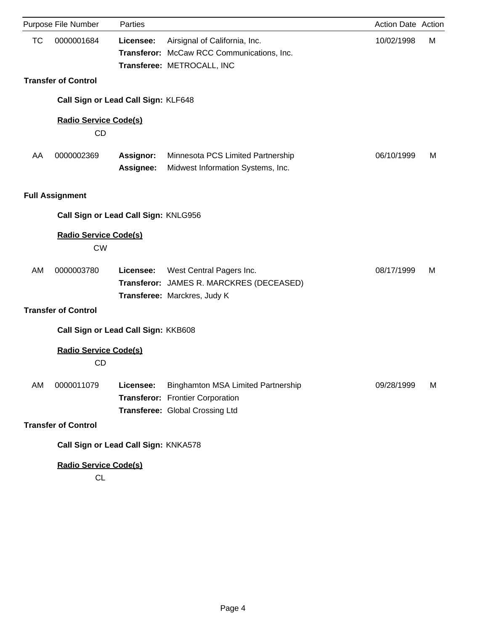|           | Purpose File Number                       | Parties                              |                                                                                                           | Action Date Action |   |
|-----------|-------------------------------------------|--------------------------------------|-----------------------------------------------------------------------------------------------------------|--------------------|---|
| <b>TC</b> | 0000001684                                | Licensee:                            | Airsignal of California, Inc.<br>Transferor: McCaw RCC Communications, Inc.<br>Transferee: METROCALL, INC | 10/02/1998         | M |
|           | <b>Transfer of Control</b>                |                                      |                                                                                                           |                    |   |
|           |                                           | Call Sign or Lead Call Sign: KLF648  |                                                                                                           |                    |   |
|           | <b>Radio Service Code(s)</b><br>CD        |                                      |                                                                                                           |                    |   |
| AA        | 0000002369                                | Assignor:<br>Assignee:               | Minnesota PCS Limited Partnership<br>Midwest Information Systems, Inc.                                    | 06/10/1999         | M |
|           | <b>Full Assignment</b>                    |                                      |                                                                                                           |                    |   |
|           |                                           | Call Sign or Lead Call Sign: KNLG956 |                                                                                                           |                    |   |
|           | <b>Radio Service Code(s)</b><br><b>CW</b> |                                      |                                                                                                           |                    |   |
| AM        | 0000003780                                | Licensee:                            | West Central Pagers Inc.<br>Transferor: JAMES R. MARCKRES (DECEASED)<br>Transferee: Marckres, Judy K      | 08/17/1999         | M |
|           | <b>Transfer of Control</b>                |                                      |                                                                                                           |                    |   |
|           |                                           | Call Sign or Lead Call Sign: KKB608  |                                                                                                           |                    |   |
|           | <b>Radio Service Code(s)</b><br><b>CD</b> |                                      |                                                                                                           |                    |   |
| AM        | 0000011079                                | Licensee:                            | Binghamton MSA Limited Partnership<br>Transferor: Frontier Corporation<br>Transferee: Global Crossing Ltd | 09/28/1999         | M |
|           | <b>Transfer of Control</b>                |                                      |                                                                                                           |                    |   |
|           |                                           | Call Sign or Lead Call Sign: KNKA578 |                                                                                                           |                    |   |
|           | <b>Radio Service Code(s)</b>              |                                      |                                                                                                           |                    |   |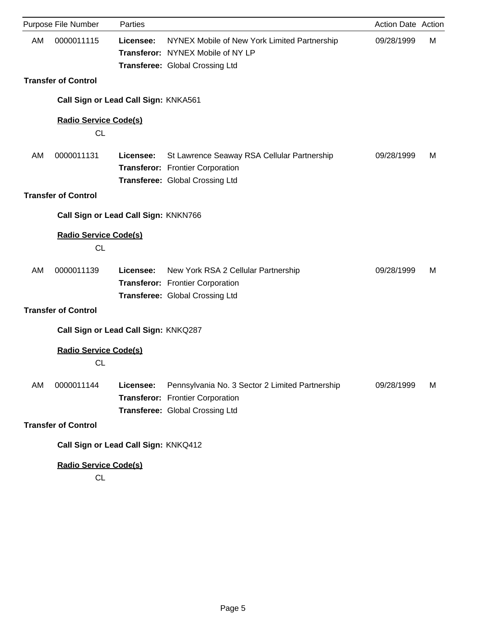|    | Purpose File Number                       | Parties   |                                                                                                                        | Action Date Action |   |
|----|-------------------------------------------|-----------|------------------------------------------------------------------------------------------------------------------------|--------------------|---|
| AM | 0000011115                                | Licensee: | NYNEX Mobile of New York Limited Partnership<br>Transferor: NYNEX Mobile of NY LP<br>Transferee: Global Crossing Ltd   | 09/28/1999         | М |
|    | <b>Transfer of Control</b>                |           |                                                                                                                        |                    |   |
|    | Call Sign or Lead Call Sign: KNKA561      |           |                                                                                                                        |                    |   |
|    | <b>Radio Service Code(s)</b><br>CL        |           |                                                                                                                        |                    |   |
| AM | 0000011131                                | Licensee: | St Lawrence Seaway RSA Cellular Partnership<br>Transferor: Frontier Corporation<br>Transferee: Global Crossing Ltd     | 09/28/1999         | м |
|    | <b>Transfer of Control</b>                |           |                                                                                                                        |                    |   |
|    | Call Sign or Lead Call Sign: KNKN766      |           |                                                                                                                        |                    |   |
|    | <b>Radio Service Code(s)</b><br><b>CL</b> |           |                                                                                                                        |                    |   |
| AM | 0000011139                                | Licensee: | New York RSA 2 Cellular Partnership<br>Transferor: Frontier Corporation<br>Transferee: Global Crossing Ltd             | 09/28/1999         | м |
|    | <b>Transfer of Control</b>                |           |                                                                                                                        |                    |   |
|    | Call Sign or Lead Call Sign: KNKQ287      |           |                                                                                                                        |                    |   |
|    | <b>Radio Service Code(s)</b><br><b>CL</b> |           |                                                                                                                        |                    |   |
| AM | 0000011144                                | Licensee: | Pennsylvania No. 3 Sector 2 Limited Partnership<br>Transferor: Frontier Corporation<br>Transferee: Global Crossing Ltd | 09/28/1999         | м |
|    | <b>Transfer of Control</b>                |           |                                                                                                                        |                    |   |
|    | Call Sign or Lead Call Sign: KNKQ412      |           |                                                                                                                        |                    |   |
|    | <b>Radio Service Code(s)</b>              |           |                                                                                                                        |                    |   |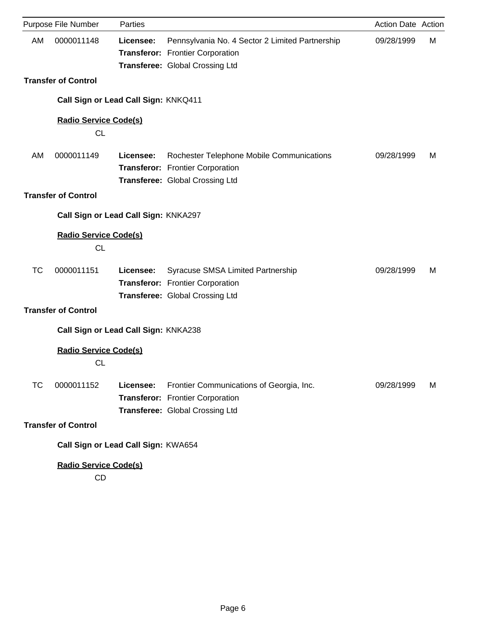|           | Purpose File Number                       | Parties   |                                                                                                                        | Action Date Action |   |
|-----------|-------------------------------------------|-----------|------------------------------------------------------------------------------------------------------------------------|--------------------|---|
| AM        | 0000011148                                | Licensee: | Pennsylvania No. 4 Sector 2 Limited Partnership<br>Transferor: Frontier Corporation<br>Transferee: Global Crossing Ltd | 09/28/1999         | М |
|           | <b>Transfer of Control</b>                |           |                                                                                                                        |                    |   |
|           | Call Sign or Lead Call Sign: KNKQ411      |           |                                                                                                                        |                    |   |
|           | <b>Radio Service Code(s)</b><br><b>CL</b> |           |                                                                                                                        |                    |   |
| AM        | 0000011149                                | Licensee: | Rochester Telephone Mobile Communications<br>Transferor: Frontier Corporation<br>Transferee: Global Crossing Ltd       | 09/28/1999         | м |
|           | <b>Transfer of Control</b>                |           |                                                                                                                        |                    |   |
|           | Call Sign or Lead Call Sign: KNKA297      |           |                                                                                                                        |                    |   |
|           | <b>Radio Service Code(s)</b><br><b>CL</b> |           |                                                                                                                        |                    |   |
| <b>TC</b> | 0000011151                                | Licensee: | Syracuse SMSA Limited Partnership<br>Transferor: Frontier Corporation<br>Transferee: Global Crossing Ltd               | 09/28/1999         | м |
|           | <b>Transfer of Control</b>                |           |                                                                                                                        |                    |   |
|           | Call Sign or Lead Call Sign: KNKA238      |           |                                                                                                                        |                    |   |
|           | <b>Radio Service Code(s)</b><br><b>CL</b> |           |                                                                                                                        |                    |   |
| TC        | 0000011152                                | Licensee: | Frontier Communications of Georgia, Inc.<br>Transferor: Frontier Corporation<br>Transferee: Global Crossing Ltd        | 09/28/1999         | M |
|           | <b>Transfer of Control</b>                |           |                                                                                                                        |                    |   |
|           | Call Sign or Lead Call Sign: KWA654       |           |                                                                                                                        |                    |   |
|           | <b>Radio Service Code(s)</b>              |           |                                                                                                                        |                    |   |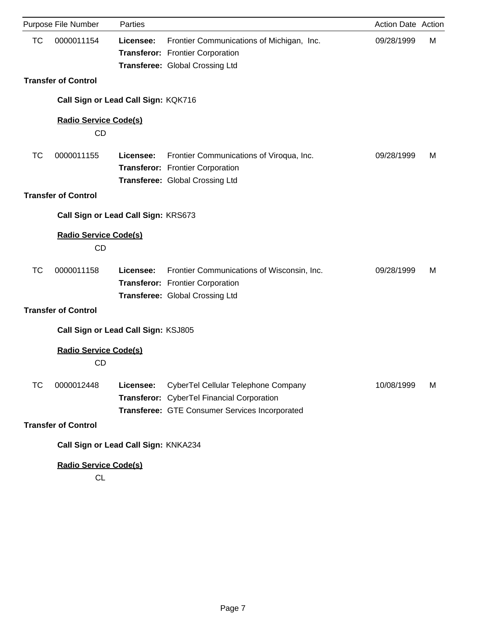| Purpose File Number                       | Parties   |                                                                                                                                     | Action Date Action |   |
|-------------------------------------------|-----------|-------------------------------------------------------------------------------------------------------------------------------------|--------------------|---|
| <b>TC</b><br>0000011154                   | Licensee: | Frontier Communications of Michigan, Inc.<br>Transferor: Frontier Corporation<br>Transferee: Global Crossing Ltd                    | 09/28/1999         | М |
| <b>Transfer of Control</b>                |           |                                                                                                                                     |                    |   |
| Call Sign or Lead Call Sign: KQK716       |           |                                                                                                                                     |                    |   |
| <b>Radio Service Code(s)</b><br>CD        |           |                                                                                                                                     |                    |   |
| <b>TC</b><br>0000011155                   | Licensee: | Frontier Communications of Viroqua, Inc.<br>Transferor: Frontier Corporation<br><b>Transferee: Global Crossing Ltd</b>              | 09/28/1999         | м |
| <b>Transfer of Control</b>                |           |                                                                                                                                     |                    |   |
| Call Sign or Lead Call Sign: KRS673       |           |                                                                                                                                     |                    |   |
| <b>Radio Service Code(s)</b><br><b>CD</b> |           |                                                                                                                                     |                    |   |
| <b>TC</b><br>0000011158                   | Licensee: | Frontier Communications of Wisconsin, Inc.<br>Transferor: Frontier Corporation<br><b>Transferee: Global Crossing Ltd</b>            | 09/28/1999         | м |
| <b>Transfer of Control</b>                |           |                                                                                                                                     |                    |   |
| Call Sign or Lead Call Sign: KSJ805       |           |                                                                                                                                     |                    |   |
| <b>Radio Service Code(s)</b><br>CD        |           |                                                                                                                                     |                    |   |
| TC<br>0000012448                          | Licensee: | CyberTel Cellular Telephone Company<br>Transferor: CyberTel Financial Corporation<br>Transferee: GTE Consumer Services Incorporated | 10/08/1999         | M |
| <b>Transfer of Control</b>                |           |                                                                                                                                     |                    |   |
| Call Sign or Lead Call Sign: KNKA234      |           |                                                                                                                                     |                    |   |
| <b>Radio Service Code(s)</b>              |           |                                                                                                                                     |                    |   |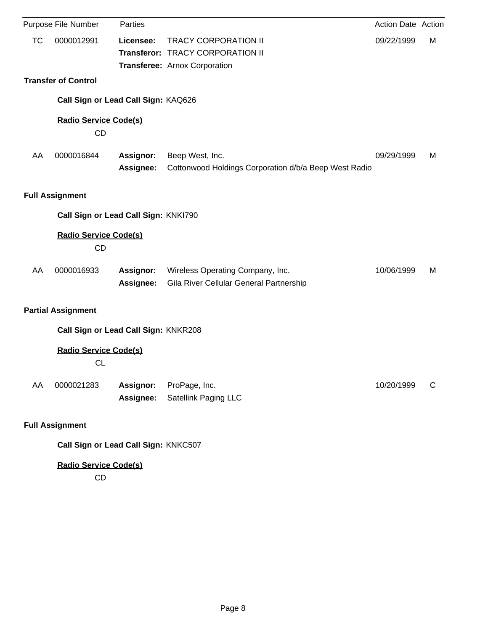|           | Purpose File Number                       | Parties                |                                                                             | Action Date Action |   |
|-----------|-------------------------------------------|------------------------|-----------------------------------------------------------------------------|--------------------|---|
| <b>TC</b> | 0000012991                                | Licensee:              | <b>TRACY CORPORATION II</b><br>Transferor: TRACY CORPORATION II             | 09/22/1999         | М |
|           |                                           |                        | Transferee: Arnox Corporation                                               |                    |   |
|           | <b>Transfer of Control</b>                |                        |                                                                             |                    |   |
|           | Call Sign or Lead Call Sign: KAQ626       |                        |                                                                             |                    |   |
|           | <b>Radio Service Code(s)</b><br><b>CD</b> |                        |                                                                             |                    |   |
| AA        | 0000016844                                | Assignor:<br>Assignee: | Beep West, Inc.<br>Cottonwood Holdings Corporation d/b/a Beep West Radio    | 09/29/1999         | м |
|           | <b>Full Assignment</b>                    |                        |                                                                             |                    |   |
|           | Call Sign or Lead Call Sign: KNKI790      |                        |                                                                             |                    |   |
|           | Radio Service Code(s)<br><b>CD</b>        |                        |                                                                             |                    |   |
| AA        | 0000016933                                | Assignor:<br>Assignee: | Wireless Operating Company, Inc.<br>Gila River Cellular General Partnership | 10/06/1999         | м |
|           | <b>Partial Assignment</b>                 |                        |                                                                             |                    |   |
|           | Call Sign or Lead Call Sign: KNKR208      |                        |                                                                             |                    |   |
|           | <b>Radio Service Code(s)</b><br><b>CL</b> |                        |                                                                             |                    |   |
| AA        | 0000021283                                | Assignor:<br>Assignee: | ProPage, Inc.<br>Satellink Paging LLC                                       | 10/20/1999         | C |
|           | <b>Full Assignment</b>                    |                        |                                                                             |                    |   |
|           | Call Sign or Lead Call Sign: KNKC507      |                        |                                                                             |                    |   |

# **Radio Service Code(s)**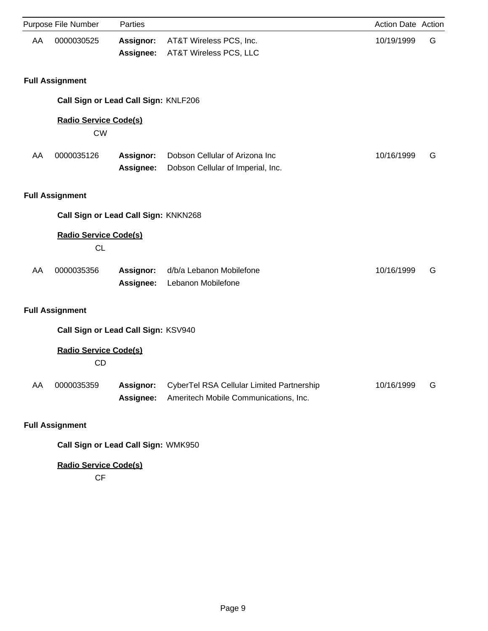|    | Purpose File Number                       | Parties                       |                                                                                    | Action Date Action |   |
|----|-------------------------------------------|-------------------------------|------------------------------------------------------------------------------------|--------------------|---|
| AA | 0000030525                                | <b>Assignor:</b><br>Assignee: | AT&T Wireless PCS, Inc.<br>AT&T Wireless PCS, LLC                                  | 10/19/1999         | G |
|    | <b>Full Assignment</b>                    |                               |                                                                                    |                    |   |
|    | Call Sign or Lead Call Sign: KNLF206      |                               |                                                                                    |                    |   |
|    | <b>Radio Service Code(s)</b><br><b>CW</b> |                               |                                                                                    |                    |   |
| AA | 0000035126                                | <b>Assignor:</b><br>Assignee: | Dobson Cellular of Arizona Inc<br>Dobson Cellular of Imperial, Inc.                | 10/16/1999         | G |
|    | <b>Full Assignment</b>                    |                               |                                                                                    |                    |   |
|    | Call Sign or Lead Call Sign: KNKN268      |                               |                                                                                    |                    |   |
|    | <b>Radio Service Code(s)</b><br><b>CL</b> |                               |                                                                                    |                    |   |
| AA | 0000035356                                | Assignor:<br>Assignee:        | d/b/a Lebanon Mobilefone<br>Lebanon Mobilefone                                     | 10/16/1999         | G |
|    | <b>Full Assignment</b>                    |                               |                                                                                    |                    |   |
|    | Call Sign or Lead Call Sign: KSV940       |                               |                                                                                    |                    |   |
|    | <b>Radio Service Code(s)</b><br><b>CD</b> |                               |                                                                                    |                    |   |
| AA | 0000035359                                | <b>Assignor:</b><br>Assignee: | CyberTel RSA Cellular Limited Partnership<br>Ameritech Mobile Communications, Inc. | 10/16/1999         | G |
|    | <b>Full Assignment</b>                    |                               |                                                                                    |                    |   |
|    | Call Sign or Lead Call Sign: WMK950       |                               |                                                                                    |                    |   |

**Radio Service Code(s)**

CF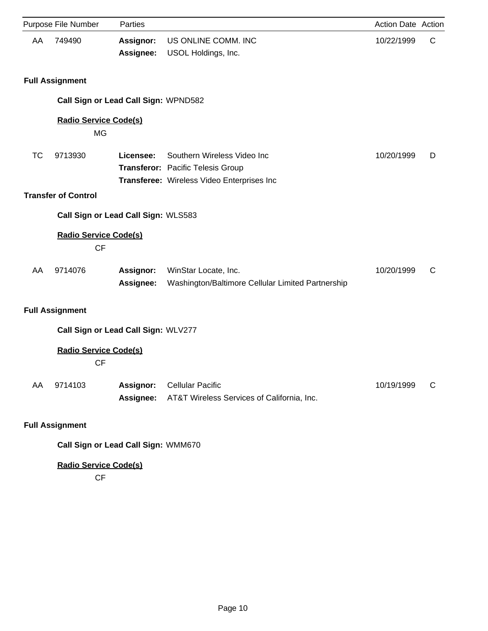|           | Purpose File Number                       | Parties                |                                                                                                                | Action Date Action |              |
|-----------|-------------------------------------------|------------------------|----------------------------------------------------------------------------------------------------------------|--------------------|--------------|
| AA        | 749490                                    | Assignor:<br>Assignee: | US ONLINE COMM. INC<br>USOL Holdings, Inc.                                                                     | 10/22/1999         | $\mathsf{C}$ |
|           | <b>Full Assignment</b>                    |                        |                                                                                                                |                    |              |
|           | Call Sign or Lead Call Sign: WPND582      |                        |                                                                                                                |                    |              |
|           | <b>Radio Service Code(s)</b><br><b>MG</b> |                        |                                                                                                                |                    |              |
| <b>TC</b> | 9713930<br><b>Transfer of Control</b>     | Licensee:              | Southern Wireless Video Inc<br>Transferor: Pacific Telesis Group<br>Transferee: Wireless Video Enterprises Inc | 10/20/1999         | D            |
|           | Call Sign or Lead Call Sign: WLS583       |                        |                                                                                                                |                    |              |
|           | <b>Radio Service Code(s)</b><br><b>CF</b> |                        |                                                                                                                |                    |              |
| AA        | 9714076                                   | Assignor:<br>Assignee: | WinStar Locate, Inc.<br>Washington/Baltimore Cellular Limited Partnership                                      | 10/20/1999         | С            |
|           | <b>Full Assignment</b>                    |                        |                                                                                                                |                    |              |
|           | Call Sign or Lead Call Sign: WLV277       |                        |                                                                                                                |                    |              |
|           | <b>Radio Service Code(s)</b><br><b>CF</b> |                        |                                                                                                                |                    |              |
| AA        | 9714103                                   | Assignor:<br>Assignee: | <b>Cellular Pacific</b><br>AT&T Wireless Services of California, Inc.                                          | 10/19/1999         | $\mathsf{C}$ |
|           | <b>Full Assignment</b>                    |                        |                                                                                                                |                    |              |

**Call Sign or Lead Call Sign:** WMM670

**Radio Service Code(s)**

CF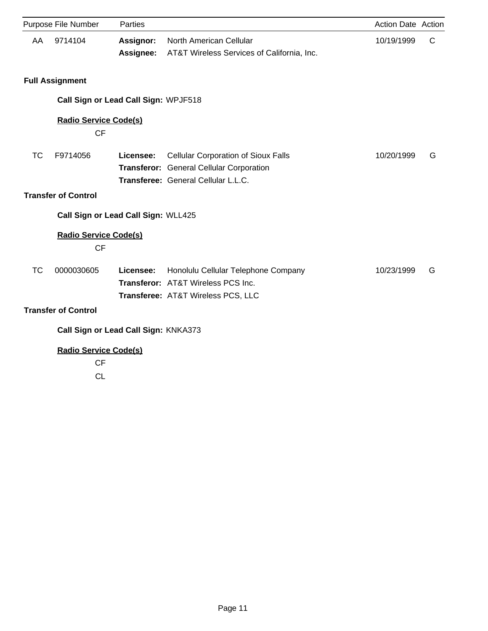|           | Purpose File Number                       | Parties                              |                                                                                                                               | Action Date Action |   |
|-----------|-------------------------------------------|--------------------------------------|-------------------------------------------------------------------------------------------------------------------------------|--------------------|---|
| AA        | 9714104                                   | Assignor:<br>Assignee:               | North American Cellular<br>AT&T Wireless Services of California, Inc.                                                         | 10/19/1999         | C |
|           | <b>Full Assignment</b>                    |                                      |                                                                                                                               |                    |   |
|           |                                           | Call Sign or Lead Call Sign: WPJF518 |                                                                                                                               |                    |   |
|           | <b>Radio Service Code(s)</b><br>CF        |                                      |                                                                                                                               |                    |   |
| TC        | F9714056                                  | Licensee:                            | <b>Cellular Corporation of Sioux Falls</b><br>Transferor: General Cellular Corporation<br>Transferee: General Cellular L.L.C. | 10/20/1999         | G |
|           | <b>Transfer of Control</b>                |                                      |                                                                                                                               |                    |   |
|           |                                           | Call Sign or Lead Call Sign: WLL425  |                                                                                                                               |                    |   |
|           | <b>Radio Service Code(s)</b><br><b>CF</b> |                                      |                                                                                                                               |                    |   |
| <b>TC</b> | 0000030605                                | Licensee:                            | Honolulu Cellular Telephone Company<br>Transferor: AT&T Wireless PCS Inc.<br>Transferee: AT&T Wireless PCS, LLC               | 10/23/1999         | G |
|           | <b>Transfer of Control</b>                |                                      |                                                                                                                               |                    |   |
|           |                                           | Call Sign or Lead Call Sign: KNKA373 |                                                                                                                               |                    |   |
|           | <b>Radio Service Code(s)</b>              |                                      |                                                                                                                               |                    |   |
|           | <b>CF</b>                                 |                                      |                                                                                                                               |                    |   |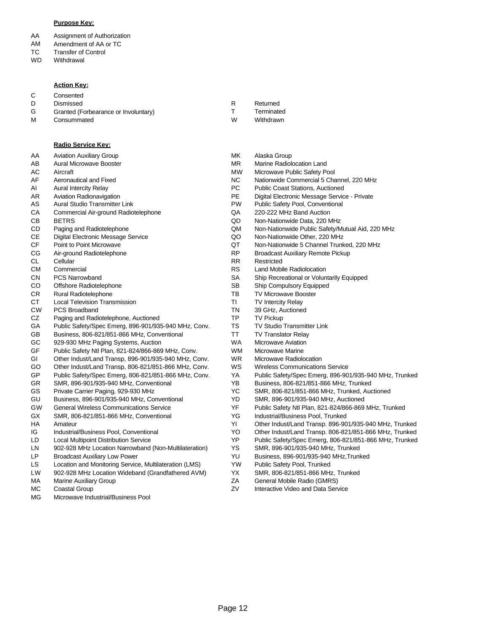#### **Purpose Key:**

- AA Assignment of Authorization
- AM Amendment of AA or TC
- TC Transfer of Control
- WD **Withdrawal**

#### **Action Key:**

C **Consented** 

D Dismissed

M

- G Granted (Forbearance or Involuntary)
	- **Consummated**

#### **Radio Service Key:**

AA Aviation Auxiliary Group

- AB Aural Microwave Booster
- AC Aircraft
- AF Aeronautical and Fixed
- AI Aural Intercity Relay
- AR Aviation Radionavigation
- AS Aural Studio Transmitter Link
- **CA** Commercial Air-ground Radiotelephone
- CB BETRS
- CD Paging and Radiotelephone
- CE Digital Electronic Message Service
- CF Point to Point Microwave
- CG Air-ground Radiotelephone
- CL Cellular
- CM **Commercial**
- CN PCS Narrowband
- CO Offshore Radiotelephone
- CR Rural Radiotelephone
- **CT** Local Television Transmission
- CW PCS Broadband
- CZ Paging and Radiotelephone, Auctioned
- GA Public Safety/Spec Emerg, 896-901/935-940 MHz, Conv.
- GB Business, 806-821/851-866 MHz, Conventional
- GC 929-930 MHz Paging Systems, Auction
- GF Public Safety Ntl Plan, 821-824/866-869 MHz, Conv.
- GI Other Indust/Land Transp, 896-901/935-940 MHz, Conv.
- GO Other Indust/Land Transp, 806-821/851-866 MHz, Conv.
- GP Public Safety/Spec Emerg, 806-821/851-866 MHz, Conv.
- GR SMR, 896-901/935-940 MHz, Conventional
- GS Private Carrier Paging, 929-930 MHz
- GU Business, 896-901/935-940 MHz, Conventional
- GW General Wireless Communications Service
- GX SMR, 806-821/851-866 MHz, Conventional
- HA Amateur
- IG Industrial/Business Pool, Conventional
- LD Local Multipoint Distribution Service
- LN 902-928 MHz Location Narrowband (Non-Multilateration)
- LP Broadcast Auxiliary Low Power
- LS Location and Monitoring Service, Multilateration (LMS)
- LW 902-928 MHz Location Wideband (Grandfathered AVM)
- MA Marine Auxiliary Group
- MC Coastal Group
- MG Microwave Industrial/Business Pool
- Returned R
	- **Terminated**

T

- Withdrawn W
- Alaska Group MK
- MR Marine Radiolocation Land
- MW Microwave Public Safety Pool
- NC Nationwide Commercial 5 Channel, 220 MHz<br>PC Public Coast Stations. Auctioned
- Public Coast Stations, Auctioned
- PE Digital Electronic Message Service Private
- PW Public Safety Pool, Conventional
- QA 220-222 MHz Band Auction
- QD Non-Nationwide Data, 220 MHz
- QM Non-Nationwide Public Safety/Mutual Aid, 220 MHz
- QO Non-Nationwide Other, 220 MHz
- QT Non-Nationwide 5 Channel Trunked, 220 MHz
- RP Broadcast Auxiliary Remote Pickup
- RR Restricted
	- RS Land Mobile Radiolocation
	- SA Ship Recreational or Voluntarily Equipped
	- SB Ship Compulsory Equipped
	- TB TV Microwave Booster
	- TI TV Intercity Relay
	- TN 39 GHz, Auctioned
	- TP TV Pickup
	- TS TV Studio Transmitter Link
	- TT TV Translator Relay
	- WA Microwave Aviation
	- WM Microwave Marine
	- WR Microwave Radiolocation
	- WS Wireless Communications Service
	- YA Public Safety/Spec Emerg, 896-901/935-940 MHz, Trunked
	- YB Business, 806-821/851-866 MHz, Trunked
	- YC SMR, 806-821/851-866 MHz, Trunked, Auctioned
	- YD SMR, 896-901/935-940 MHz, Auctioned
	- YF Public Safety Ntl Plan, 821-824/866-869 MHz, Trunked
	- YG Industrial/Business Pool, Trunked
	- YI Other Indust/Land Transp. 896-901/935-940 MHz, Trunked
	- YO Other Indust/Land Transp. 806-821/851-866 MHz, Trunked
	- YP Public Safety/Spec Emerg, 806-821/851-866 MHz, Trunked
	- YS SMR, 896-901/935-940 MHz, Trunked
	- YU Business, 896-901/935-940 MHz,Trunked
	- YW Public Safety Pool, Trunked
	- YX SMR, 806-821/851-866 MHz, Trunked
	- ZA General Mobile Radio (GMRS)
	- ZV Interactive Video and Data Service